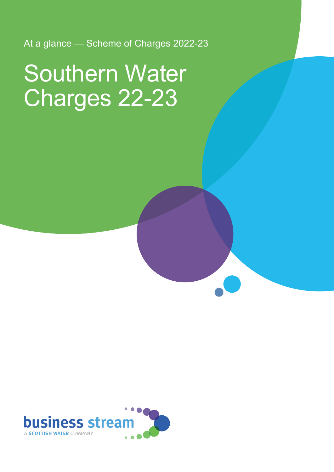At a glance — Scheme of Charges 2022-23

# Southern Water Charges 22-23

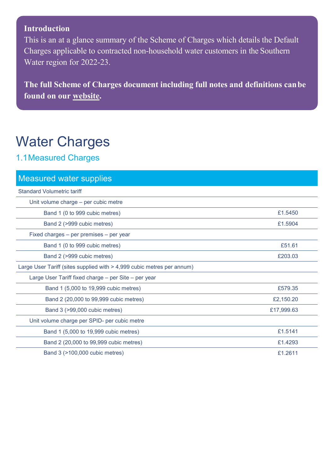#### **Introduction**

This is an at a glance summary of the Scheme of Charges which details the Default Charges applicable to contracted non-household water customers in the Southern Water region for 2022-23.

**The full Scheme of Charges document including full notes and definitions canbe found on our [website.](https://d293gcbh7q7l5y.cloudfront.net/images/uploads/general/BS_charges_statement_-_Southern_2022-23_Final_V1.0.pdf)**

### Water Charges

#### 1.1Measured Charges

| <b>Measured water supplies</b>                                         |            |
|------------------------------------------------------------------------|------------|
| <b>Standard Volumetric tariff</b>                                      |            |
| Unit volume charge - per cubic metre                                   |            |
| Band 1 (0 to 999 cubic metres)                                         | £1.5450    |
| Band 2 (>999 cubic metres)                                             | £1.5904    |
| Fixed charges – per premises – per year                                |            |
| Band 1 (0 to 999 cubic metres)                                         | £51.61     |
| Band 2 (>999 cubic metres)                                             | £203.03    |
| Large User Tariff (sites supplied with > 4,999 cubic metres per annum) |            |
| Large User Tariff fixed charge - per Site - per year                   |            |
| Band 1 (5,000 to 19,999 cubic metres)                                  | £579.35    |
| Band 2 (20,000 to 99,999 cubic metres)                                 | £2,150.20  |
| Band 3 (>99,000 cubic metres)                                          | £17,999.63 |
| Unit volume charge per SPID- per cubic metre                           |            |
| Band 1 (5,000 to 19,999 cubic metres)                                  | £1.5141    |
| Band 2 (20,000 to 99,999 cubic metres)                                 | £1.4293    |
| Band 3 (>100,000 cubic metres)                                         | £1.2611    |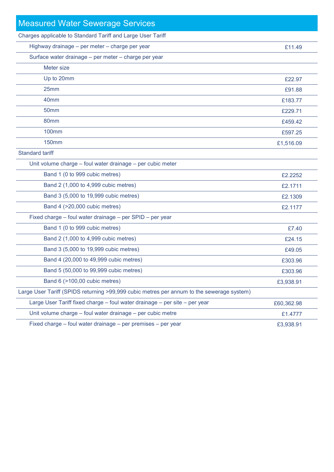| <b>Measured Water Sewerage Services</b>                                                   |            |
|-------------------------------------------------------------------------------------------|------------|
| Charges applicable to Standard Tariff and Large User Tariff                               |            |
| Highway drainage - per meter - charge per year                                            | £11.49     |
| Surface water drainage - per meter - charge per year                                      |            |
| Meter size                                                                                |            |
| Up to 20mm                                                                                | £22.97     |
| 25mm                                                                                      | £91.88     |
| 40 <sub>mm</sub>                                                                          | £183.77    |
| 50 <sub>mm</sub>                                                                          | £229.71    |
| 80mm                                                                                      | £459.42    |
| <b>100mm</b>                                                                              | £597.25    |
| <b>150mm</b>                                                                              | £1,516.09  |
| <b>Standard tariff</b>                                                                    |            |
| Unit volume charge - foul water drainage - per cubic meter                                |            |
| Band 1 (0 to 999 cubic metres)                                                            | £2.2252    |
| Band 2 (1,000 to 4,999 cubic metres)                                                      | £2.1711    |
| Band 3 (5,000 to 19,999 cubic metres)                                                     | £2.1309    |
| Band 4 (>20,000 cubic metres)                                                             | £2.1177    |
| Fixed charge - foul water drainage - per SPID - per year                                  |            |
| Band 1 (0 to 999 cubic metres)                                                            | £7.40      |
| Band 2 (1,000 to 4,999 cubic metres)                                                      | £24.15     |
| Band 3 (5,000 to 19,999 cubic metres)                                                     | £49.05     |
| Band 4 (20,000 to 49,999 cubic metres)                                                    | £303.96    |
| Band 5 (50,000 to 99,999 cubic metres)                                                    | £303.96    |
| Band 6 (>100,00 cubic metres)                                                             | £3,938.91  |
| Large User Tariff (SPIDS returning >99,999 cubic metres per annum to the sewerage system) |            |
| Large User Tariff fixed charge - foul water drainage - per site - per year                | £60,362.98 |
| Unit volume charge - foul water drainage - per cubic metre                                | £1.4777    |
| Fixed charge - foul water drainage - per premises - per year                              | £3,938.91  |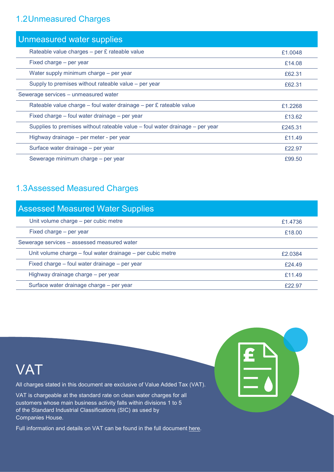#### 1.2Unmeasured Charges

| Unmeasured water supplies                                                    |         |
|------------------------------------------------------------------------------|---------|
| Rateable value charges - per £ rateable value                                | £1.0048 |
| Fixed charge – per year                                                      | £14.08  |
| Water supply minimum charge - per year                                       | £62.31  |
| Supply to premises without rateable value – per year                         | £62.31  |
| Sewerage services - unmeasured water                                         |         |
| Rateable value charge - foul water drainage - per £ rateable value           | £1.2268 |
| Fixed charge – foul water drainage – per year                                | £13.62  |
| Supplies to premises without rateable value – foul water drainage – per year | £245.31 |
| Highway drainage – per meter - per year                                      | £11.49  |
| Surface water drainage - per year                                            | £22.97  |
| Sewerage minimum charge – per year                                           | £99.50  |

#### 1.3Assessed Measured Charges

| <b>Assessed Measured Water Supplies</b>                    |         |
|------------------------------------------------------------|---------|
| Unit volume charge - per cubic metre                       | £1.4736 |
| Fixed charge - per year                                    | £18.00  |
| Sewerage services - assessed measured water                |         |
| Unit volume charge – foul water drainage – per cubic metre | £2.0384 |
| Fixed charge – foul water drainage – per year              | £24.49  |
| Highway drainage charge – per year                         | £11.49  |
| Surface water drainage charge - per year                   | £22.97  |



Full information and details on VAT can be found in the full document [here.](https://d293gcbh7q7l5y.cloudfront.net/images/uploads/general/BS_charges_statement_-_Southern_2022-23_Final_V1.0.pdf)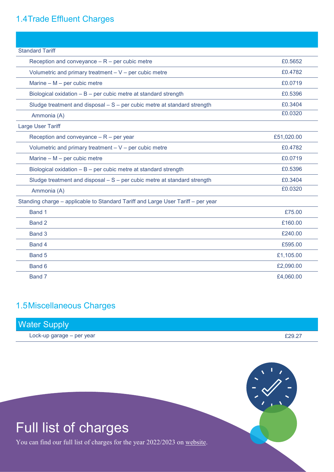#### 1.4Trade Effluent Charges

| <b>Standard Tariff</b>                                                           |            |
|----------------------------------------------------------------------------------|------------|
| Reception and conveyance $- R$ – per cubic metre                                 | £0.5652    |
| Volumetric and primary treatment $- V$ – per cubic metre                         | £0.4782    |
| Marine $- M$ – per cubic metre                                                   | £0.0719    |
| Biological oxidation - B - per cubic metre at standard strength                  | £0.5396    |
| Sludge treatment and disposal $-$ S $-$ per cubic metre at standard strength     | £0.3404    |
| Ammonia (A)                                                                      | £0.0320    |
| Large User Tariff                                                                |            |
| Reception and conveyance $- R$ – per year                                        | £51,020.00 |
| Volumetric and primary treatment $- V$ – per cubic metre                         | £0.4782    |
| Marine $- M$ – per cubic metre                                                   | £0.0719    |
| Biological oxidation $- B -$ per cubic metre at standard strength                | £0.5396    |
| Sludge treatment and disposal $-$ S $-$ per cubic metre at standard strength     | £0.3404    |
| Ammonia (A)                                                                      | £0.0320    |
| Standing charge - applicable to Standard Tariff and Large User Tariff - per year |            |
| Band 1                                                                           | £75.00     |
| Band 2                                                                           | £160.00    |
| Band 3                                                                           | £240.00    |
| Band 4                                                                           | £595.00    |
| Band 5                                                                           | £1,105.00  |
| Band 6                                                                           | £2,090.00  |
| Band 7                                                                           | £4,060.00  |

#### 1.5Miscellaneous Charges

| <b>Water Supply</b>       |        |
|---------------------------|--------|
| Lock-up garage – per year | £29.27 |